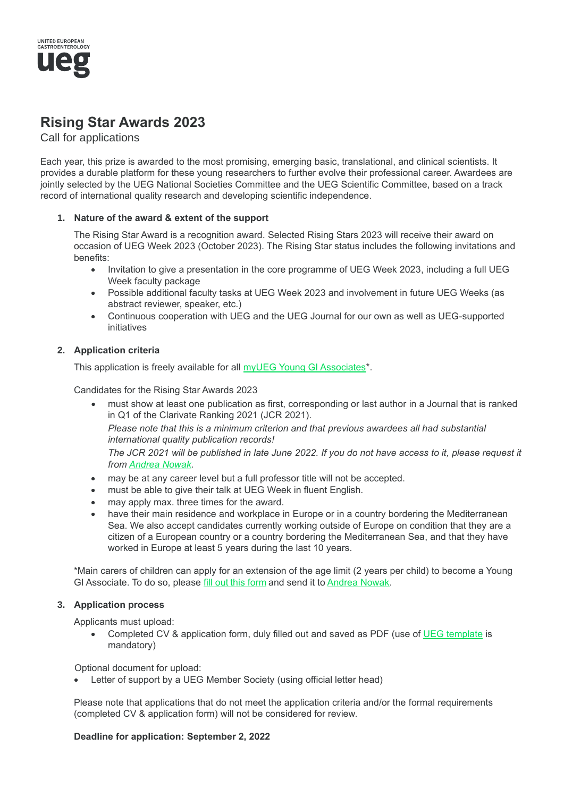

# **Rising Star Awards 2023**

Call for applications

Each year, this prize is awarded to the most promising, emerging basic, translational, and clinical scientists. It provides a durable platform for these young researchers to further evolve their professional career. Awardees are jointly selected by the UEG National Societies Committee and the UEG Scientific Committee, based on a track record of international quality research and developing scientific independence.

### **1. Nature of the award & extent of the support**

The Rising Star Award is a recognition award. Selected Rising Stars 2023 will receive their award on occasion of UEG Week 2023 (October 2023). The Rising Star status includes the following invitations and benefits:

- Invitation to give a presentation in the core programme of UEG Week 2023, including a full UEG Week faculty package
- Possible additional faculty tasks at UEG Week 2023 and involvement in future UEG Weeks (as abstract reviewer, speaker, etc.)
- Continuous cooperation with UEG and the UEG Journal for our own as well as UEG-supported initiatives

## **2. Application criteria**

This application is freely available for all myUEG Young GI Associates\*.

Candidates for the Rising Star Awards 2023

• must show at least one publication as first, corresponding or last author in a Journal that is ranked in Q1 of the Clarivate Ranking 2021 (JCR 2021).

*Please note that this is a minimum criterion and that previous awardees all had substantial international quality publication records!*

*The JCR 2021 will be published in late June 2022. If you do not have access to it, please request it from Andrea Nowak.*

- may be at any career level but a full professor title will not be accepted.
- must be able to give their talk at UEG Week in fluent English.
- may apply max. three times for the award.
- have their main residence and workplace in Europe or in a country bordering the Mediterranean Sea. We also accept candidates currently working outside of Europe on condition that they are a citizen of a European country or a country bordering the Mediterranean Sea, and that they have worked in Europe at least 5 years during the last 10 years.

\*Main carers of children can apply for an extension of the age limit (2 years per child) to become a Young GI Associate. To do so, please fill out this form and send it to Andrea Nowak.

### **3. Application process**

Applicants must upload:

• Completed CV & application form, duly filled out and saved as PDF (use of UEG template is mandatory)

Optional document for upload:

Letter of support by a UEG Member Society (using official letter head)

Please note that applications that do not meet the application criteria and/or the formal requirements (completed CV & application form) will not be considered for review.

### **Deadline for application: September 2, 2022**